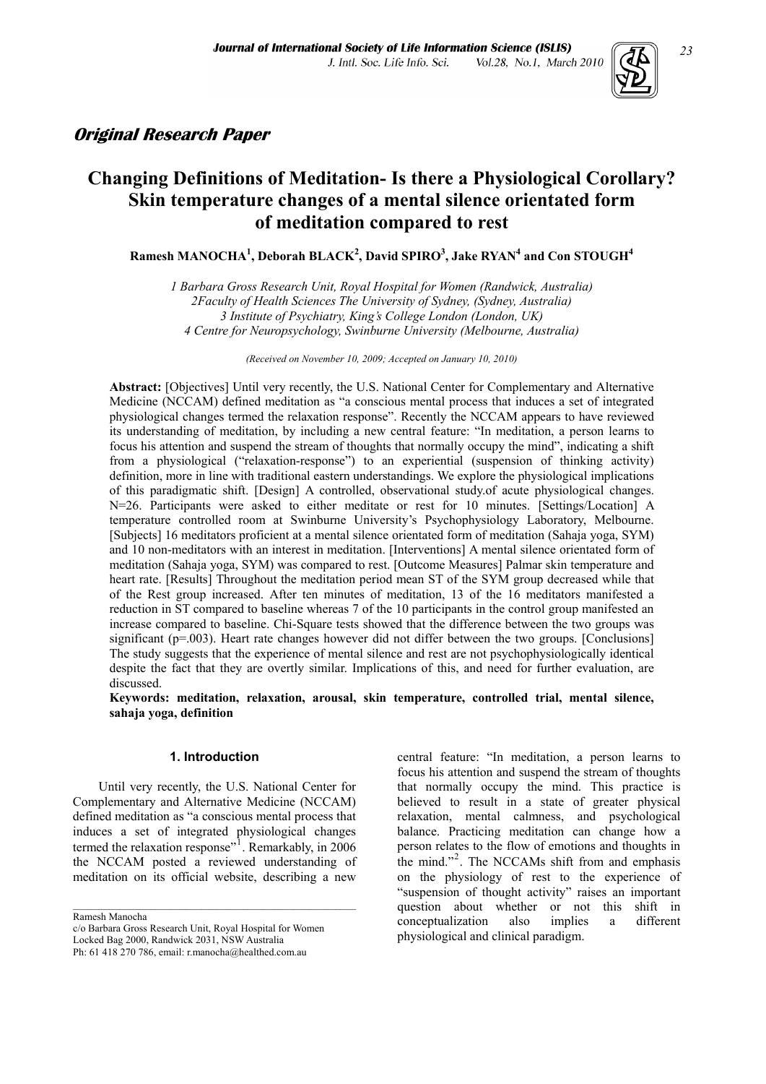

# **Original Research Paper**

# **Changing Definitions of Meditation- Is there a Physiological Corollary? Skin temperature changes of a mental silence orientated form of meditation compared to rest**

 $\mathbf{R}$ amesh MANOCHA<sup>1</sup>, Deborah BLACK<sup>2</sup>, David SPIRO<sup>3</sup>, Jake RYAN<sup>4</sup> and Con STOUGH<sup>4</sup>

*1 Barbara Gross Research Unit, Royal Hospital for Women (Randwick, Australia) 2Faculty of Health Sciences The University of Sydney, (Sydney, Australia) 3 Institute of Psychiatry, King's College London (London, UK) 4 Centre for Neuropsychology, Swinburne University (Melbourne, Australia)* 

*(Received on November 10, 2009; Accepted on January 10, 2010)* 

**Abstract:** [Objectives] Until very recently, the U.S. National Center for Complementary and Alternative Medicine (NCCAM) defined meditation as "a conscious mental process that induces a set of integrated physiological changes termed the relaxation response". Recently the NCCAM appears to have reviewed its understanding of meditation, by including a new central feature: "In meditation, a person learns to focus his attention and suspend the stream of thoughts that normally occupy the mind", indicating a shift from a physiological ("relaxation-response") to an experiential (suspension of thinking activity) definition, more in line with traditional eastern understandings. We explore the physiological implications of this paradigmatic shift. [Design] A controlled, observational study.of acute physiological changes. N=26. Participants were asked to either meditate or rest for 10 minutes. [Settings/Location] A temperature controlled room at Swinburne University's Psychophysiology Laboratory, Melbourne. [Subjects] 16 meditators proficient at a mental silence orientated form of meditation (Sahaja yoga, SYM) and 10 non-meditators with an interest in meditation. [Interventions] A mental silence orientated form of meditation (Sahaja yoga, SYM) was compared to rest. [Outcome Measures] Palmar skin temperature and heart rate. [Results] Throughout the meditation period mean ST of the SYM group decreased while that of the Rest group increased. After ten minutes of meditation, 13 of the 16 meditators manifested a reduction in ST compared to baseline whereas 7 of the 10 participants in the control group manifested an increase compared to baseline. Chi-Square tests showed that the difference between the two groups was significant (p=.003). Heart rate changes however did not differ between the two groups. [Conclusions] The study suggests that the experience of mental silence and rest are not psychophysiologically identical despite the fact that they are overtly similar. Implications of this, and need for further evaluation, are discussed.

**Keywords: meditation, relaxation, arousal, skin temperature, controlled trial, mental silence, sahaja yoga, definition** 

#### **1. Introduction**

 Until very recently, the U.S. National Center for Complementary and Alternative Medicine (NCCAM) defined meditation as "a conscious mental process that induces a set of integrated physiological changes termed the relaxation response"<sup>[1](#page-6-0)</sup>. Remarkably, in 2006 the NCCAM posted a reviewed understanding of meditation on its official website, describing a new

 $\mathcal{L}_\text{max}$  and the contract of the contract of the contract of the contract of the contract of the contract of the contract of the contract of the contract of the contract of the contract of the contract of the contrac

Ramesh Manocha

central feature: "In meditation, a person learns to focus his attention and suspend the stream of thoughts that normally occupy the mind. This practice is believed to result in a state of greater physical relaxation, mental calmness, and psychological balance. Practicing meditation can change how a person relates to the flow of emotions and thoughts in the mind."<sup>[2](#page-6-1)</sup>. The NCCAMs shift from and emphasis on the physiology of rest to the experience of "suspension of thought activity" raises an important question about whether or not this shift in conceptualization also implies a different physiological and clinical paradigm.

c/o Barbara Gross Research Unit, Royal Hospital for Women Locked Bag 2000, Randwick 2031, NSW Australia Ph: 61 418 270 786, email: r.manocha@healthed.com.au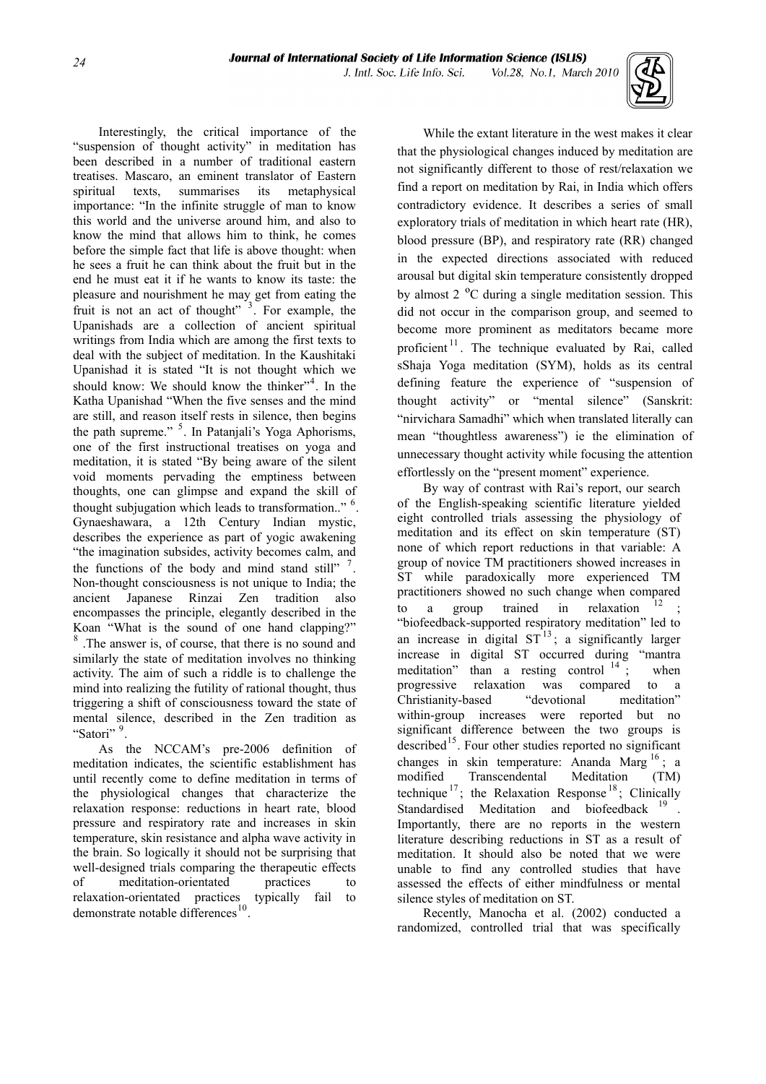

 Interestingly, the critical importance of the "suspension of thought activity" in meditation has been described in a number of traditional eastern treatises. Mascaro, an eminent translator of Eastern spiritual texts, summarises its metaphysical importance: "In the infinite struggle of man to know this world and the universe around him, and also to know the mind that allows him to think, he comes before the simple fact that life is above thought: when he sees a fruit he can think about the fruit but in the end he must eat it if he wants to know its taste: the pleasure and nourishment he may get from eating the fruit is not an act of thought" $3$ . For example, the Upanishads are a collection of ancient spiritual writings from India which are among the first texts to deal with the subject of meditation. In the Kaushitaki Upanishad it is stated "It is not thought which we should know: We should know the thinker"<sup>[4](#page-6-1)</sup>. In the Katha Upanishad "When the five senses and the mind are still, and reason itself rests in silence, then begins the path supreme." <sup>[5](#page-6-1)</sup>. In Patanjali's Yoga Aphorisms, one of the first instructional treatises on yoga and meditation, it is stated "By being aware of the silent void moments pervading the emptiness between thoughts, one can glimpse and expand the skill of thought subjugation which leads to transformation.." <sup>[6](#page-6-1)</sup> . Gynaeshawara, a 12th Century Indian mystic, describes the experience as part of yogic awakening "the imagination subsides, activity becomes calm, and the functions of the body and mind stand still"  $<sup>7</sup>$  $<sup>7</sup>$  $<sup>7</sup>$ .</sup> Non-thought consciousness is not unique to India; the ancient Japanese Rinzai Zen tradition also encompasses the principle, elegantly described in the Koan "What is the sound of one hand clapping?" [8](#page-6-1) .The answer is, of course, that there is no sound and similarly the state of meditation involves no thinking activity. The aim of such a riddle is to challenge the mind into realizing the futility of rational thought, thus triggering a shift of consciousness toward the state of mental silence, described in the Zen tradition as "Satori"<sup>[9](#page-6-1)</sup>.

 As the NCCAM's pre-2006 definition of meditation indicates, the scientific establishment has until recently come to define meditation in terms of the physiological changes that characterize the relaxation response: reductions in heart rate, blood pressure and respiratory rate and increases in skin temperature, skin resistance and alpha wave activity in the brain. So logically it should not be surprising that well-designed trials comparing the therapeutic effects of meditation-orientated practices to relaxation-orientated practices typically fail to demonstrate notable differences<sup>[10](#page-7-0)</sup>

 While the extant literature in the west makes it clear that the physiological changes induced by meditation are not significantly different to those of rest/relaxation we find a report on meditation by Rai, in India which offers contradictory evidence. It describes a series of small exploratory trials of meditation in which heart rate (HR), blood pressure (BP), and respiratory rate (RR) changed in the expected directions associated with reduced arousal but digital skin temperature consistently dropped by almost 2 ºC during a single meditation session. This did not occur in the comparison group, and seemed to become more prominent as meditators became more proficient<sup>[11](#page-7-0)</sup>. The technique evaluated by Rai, called sShaja Yoga meditation (SYM), holds as its central defining feature the experience of "suspension of thought activity" or "mental silence" (Sanskrit: "nirvichara Samadhi" which when translated literally can mean "thoughtless awareness") ie the elimination of unnecessary thought activity while focusing the attention effortlessly on the "present moment" experience.

By way of contrast with Rai's report, our search of the English-speaking scientific literature yielded eight controlled trials assessing the physiology of meditation and its effect on skin temperature (ST) none of which report reductions in that variable: A group of novice TM practitioners showed increases in ST while paradoxically more experienced TM practitioners showed no such change when compared to a group trained in relaxation ; "biofeedback-supported respiratory meditation" led to an increase in digital  $ST<sup>13</sup>$  $ST<sup>13</sup>$  $ST<sup>13</sup>$ ; a significantly larger increase in digital ST occurred during "mantra meditation" than a resting control  $14$ ; when progressive relaxation was compared to a Christianity-based "devotional meditation" within-group increases were reported but no significant difference between the two groups is described<sup>[15](#page-7-0)</sup>. Four other studies reported no significant changes in skin temperature: Ananda Marg  $^{16}$  $^{16}$  $^{16}$ ; a modified Transcendental Meditation (TM) technique<sup>[17](#page-7-0)</sup>; the Relaxation Response<sup>[18](#page-7-0)</sup>; Clinically Standardised Meditation and biofeedback <sup>[19](#page-7-0)</sup>. Importantly, there are no reports in the western literature describing reductions in ST as a result of meditation. It should also be noted that we were unable to find any controlled studies that have assessed the effects of either mindfulness or mental silence styles of meditation on ST.

 Recently, Manocha et al. (2002) conducted a randomized, controlled trial that was specifically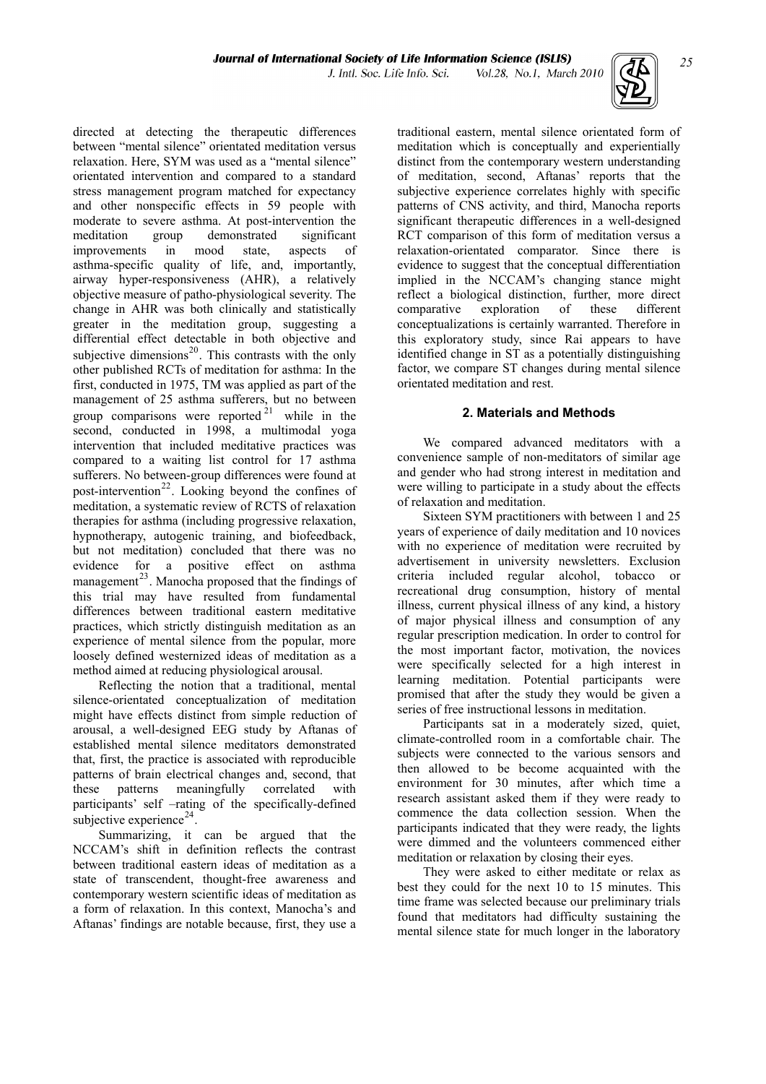

directed at detecting the therapeutic differences between "mental silence" orientated meditation versus relaxation. Here, SYM was used as a "mental silence" orientated intervention and compared to a standard stress management program matched for expectancy and other nonspecific effects in 59 people with moderate to severe asthma. At post-intervention the meditation group demonstrated significant improvements in mood state, aspects of asthma-specific quality of life, and, importantly, airway hyper-responsiveness (AHR), a relatively objective measure of patho-physiological severity. The change in AHR was both clinically and statistically greater in the meditation group, suggesting a differential effect detectable in both objective and subjective dimensions $^{20}$  $^{20}$  $^{20}$ . This contrasts with the only other published RCTs of meditation for asthma: In the first, conducted in 1975, TM was applied as part of the management of 25 asthma sufferers, but no between group comparisons were reported  $2^1$  while in the second, conducted in 1998, a multimodal yoga intervention that included meditative practices was compared to a waiting list control for 17 asthma sufferers. No between-group differences were found at post-intervention<sup>[22](#page-7-0)</sup>. Looking beyond the confines of meditation, a systematic review of RCTS of relaxation therapies for asthma (including progressive relaxation, hypnotherapy, autogenic training, and biofeedback, but not meditation) concluded that there was no evidence for a positive effect on asthma management<sup>[23](#page-7-0)</sup>. Manocha proposed that the findings of this trial may have resulted from fundamental differences between traditional eastern meditative practices, which strictly distinguish meditation as an experience of mental silence from the popular, more loosely defined westernized ideas of meditation as a method aimed at reducing physiological arousal.

 Reflecting the notion that a traditional, mental silence-orientated conceptualization of meditation might have effects distinct from simple reduction of arousal, a well-designed EEG study by Aftanas of established mental silence meditators demonstrated that, first, the practice is associated with reproducible patterns of brain electrical changes and, second, that these patterns meaningfully correlated with participants' self –rating of the specifically-defined subjective experience $^{24}$  $^{24}$  $^{24}$ .

 Summarizing, it can be argued that the NCCAM's shift in definition reflects the contrast between traditional eastern ideas of meditation as a state of transcendent, thought-free awareness and contemporary western scientific ideas of meditation as a form of relaxation. In this context, Manocha's and Aftanas' findings are notable because, first, they use a

traditional eastern, mental silence orientated form of meditation which is conceptually and experientially distinct from the contemporary western understanding of meditation, second, Aftanas' reports that the subjective experience correlates highly with specific patterns of CNS activity, and third, Manocha reports significant therapeutic differences in a well-designed RCT comparison of this form of meditation versus a relaxation-orientated comparator. Since there is evidence to suggest that the conceptual differentiation implied in the NCCAM's changing stance might reflect a biological distinction, further, more direct comparative exploration of these different conceptualizations is certainly warranted. Therefore in this exploratory study, since Rai appears to have identified change in ST as a potentially distinguishing factor, we compare ST changes during mental silence orientated meditation and rest.

# **2. Materials and Methods**

 We compared advanced meditators with a convenience sample of non-meditators of similar age and gender who had strong interest in meditation and were willing to participate in a study about the effects of relaxation and meditation.

 Sixteen SYM practitioners with between 1 and 25 years of experience of daily meditation and 10 novices with no experience of meditation were recruited by advertisement in university newsletters. Exclusion criteria included regular alcohol, tobacco or recreational drug consumption, history of mental illness, current physical illness of any kind, a history of major physical illness and consumption of any regular prescription medication. In order to control for the most important factor, motivation, the novices were specifically selected for a high interest in learning meditation. Potential participants were promised that after the study they would be given a series of free instructional lessons in meditation.

 Participants sat in a moderately sized, quiet, climate-controlled room in a comfortable chair. The subjects were connected to the various sensors and then allowed to be become acquainted with the environment for 30 minutes, after which time a research assistant asked them if they were ready to commence the data collection session. When the participants indicated that they were ready, the lights were dimmed and the volunteers commenced either meditation or relaxation by closing their eyes.

 They were asked to either meditate or relax as best they could for the next 10 to 15 minutes. This time frame was selected because our preliminary trials found that meditators had difficulty sustaining the mental silence state for much longer in the laboratory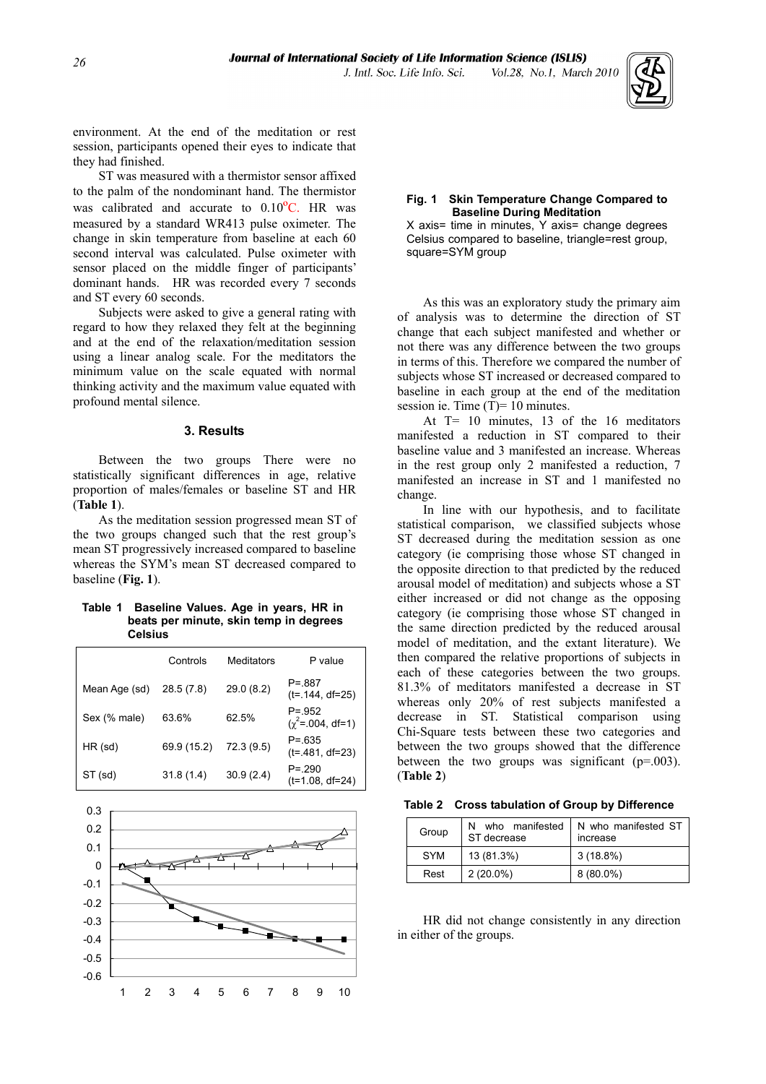

environment. At the end of the meditation or rest session, participants opened their eyes to indicate that they had finished.

 ST was measured with a thermistor sensor affixed to the palm of the nondominant hand. The thermistor was calibrated and accurate to  $0.10\text{°C}$ . HR was measured by a standard WR413 pulse oximeter. The change in skin temperature from baseline at each 60 second interval was calculated. Pulse oximeter with sensor placed on the middle finger of participants' dominant hands. HR was recorded every 7 seconds and ST every 60 seconds.

 Subjects were asked to give a general rating with regard to how they relaxed they felt at the beginning and at the end of the relaxation/meditation session using a linear analog scale. For the meditators the minimum value on the scale equated with normal thinking activity and the maximum value equated with profound mental silence.

#### **3. Results**

 Between the two groups There were no statistically significant differences in age, relative proportion of males/females or baseline ST and HR

 As the meditation session progressed mean ST of the two groups changed such that the rest group's mean ST progressively increased compared to baseline whereas the SYM's mean ST decreased compared to baseline (**Fig. 1**).

#### **Table 1 Baseline Values. Age in years, HR in beats per minute, skin temp in degrees Celsius**

|               | Controls    | Meditators | P value                              |
|---------------|-------------|------------|--------------------------------------|
| Mean Age (sd) | 28.5(7.8)   | 29.0(8.2)  | $P = 887$<br>$(t=.144, df=25)$       |
| Sex (% male)  | 63.6%       | 62.5%      | $P = 952$<br>$(\chi^2 = .004, df=1)$ |
| $HR$ (sd)     | 69.9 (15.2) | 72.3(9.5)  | $P = 635$<br>$(t= 481, df=23)$       |
| ST (sd)       | 31.8(1.4)   | 30.9(2.4)  | $P = 290$<br>(t=1.08, df=24)         |



#### **Fig. 1 Skin Temperature Change Compared to Baseline During Meditation**

X axis= time in minutes, Y axis= change degrees Celsius compared to baseline, triangle=rest group, square=SYM group

 As this was an exploratory study the primary aim of analysis was to determine the direction of ST change that each subject manifested and whether or not there was any difference between the two groups in terms of this. Therefore we compared the number of subjects whose ST increased or decreased compared to baseline in each group at the end of the meditation session ie. Time  $(T)=10$  minutes.

 At T= 10 minutes, 13 of the 16 meditators manifested a reduction in ST compared to their baseline value and 3 manifested an increase. Whereas in the rest group only 2 manifested a reduction, 7 manifested an increase in ST and 1 manifested no change.

(**Table 1**). In line with our hypothesis, and to facilitate statistical comparison, we classified subjects whose ST decreased during the meditation session as one category (ie comprising those whose ST changed in the opposite direction to that predicted by the reduced arousal model of meditation) and subjects whose a ST either increased or did not change as the opposing category (ie comprising those whose ST changed in the same direction predicted by the reduced arousal model of meditation, and the extant literature). We then compared the relative proportions of subjects in each of these categories between the two groups. 81.3% of meditators manifested a decrease in ST whereas only 20% of rest subjects manifested a decrease in ST. Statistical comparison using Chi-Square tests between these two categories and between the two groups showed that the difference between the two groups was significant  $(p=0.003)$ . (**Table 2**)

|  | Table 2 Cross tabulation of Group by Difference |  |  |
|--|-------------------------------------------------|--|--|
|--|-------------------------------------------------|--|--|

| Group      | N who manifested<br>ST decrease | N who manifested ST<br>increase |  |
|------------|---------------------------------|---------------------------------|--|
| <b>SYM</b> | 13 (81.3%)                      | $3(18.8\%)$                     |  |
| Rest       | $2(20.0\%)$                     | $8(80.0\%)$                     |  |

 HR did not change consistently in any direction in either of the groups.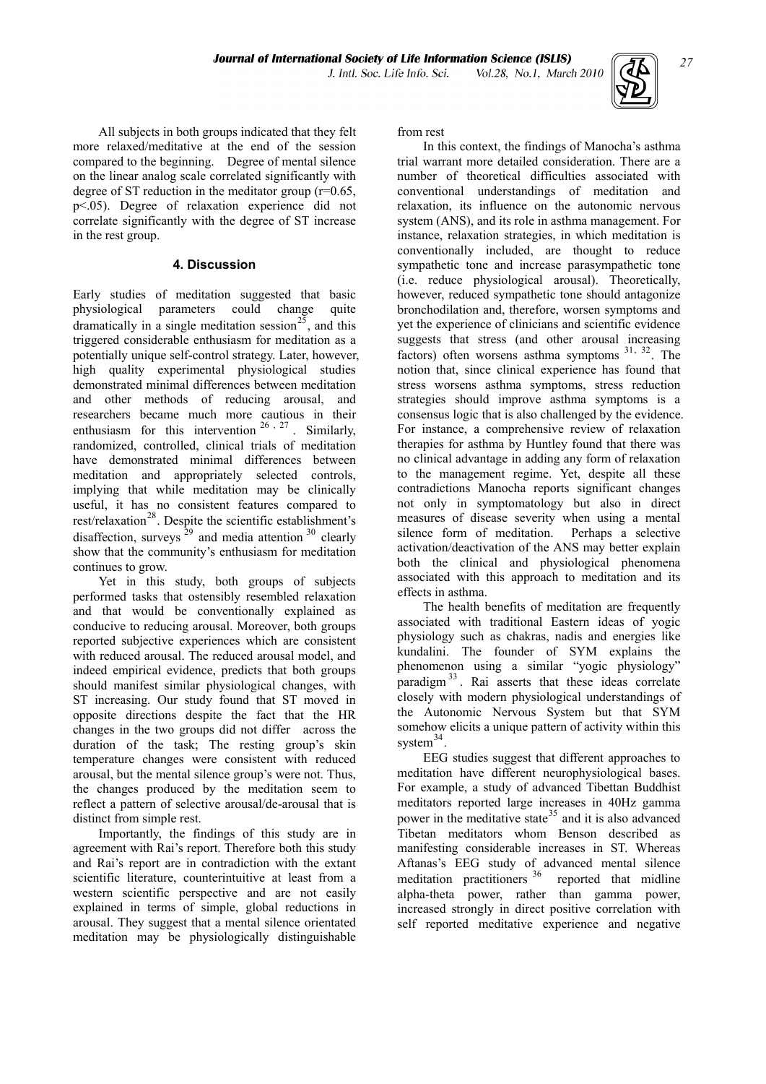

 All subjects in both groups indicated that they felt more relaxed/meditative at the end of the session compared to the beginning. Degree of mental silence on the linear analog scale correlated significantly with degree of ST reduction in the meditator group (r=0.65, p<.05). Degree of relaxation experience did not correlate significantly with the degree of ST increase in the rest group.

# **4. Discussion**

Early studies of meditation suggested that basic physiological parameters could change quite dramatically in a single meditation session<sup>[25](#page-8-0)</sup>, and this triggered considerable enthusiasm for meditation as a potentially unique self-control strategy. Later, however, high quality experimental physiological studies demonstrated minimal differences between meditation and other methods of reducing arousal, and researchers became much more cautious in their enthusiasm for this intervention  $2^6 \tcdot 2^7$ . Similarly, [randomized, controlled, clinical trials of meditation](#page-8-0)  [have demonstrated minimal differences between](#page-8-0)  [meditation and appropriately selected controls,](#page-8-0)  [implying that while meditation may be clinically](#page-8-0)  [useful, it has no consistent features compared to](#page-8-0)  [rest/relaxation](#page-8-0)<sup>28</sup>. Despite the scientific establishment's [disaffection, surveys](#page-8-0)  $^{29}$  [and media attention](#page-8-0)  $^{30}$  clearly [show that the community's enthusiasm for meditation](#page-8-0)  [continues to grow.](#page-8-0) 

 Yet in this study, both groups of subjects performed tasks that ostensibly resembled relaxation and that would be conventionally explained as conducive to reducing arousal. Moreover, both groups reported subjective experiences which are consistent with reduced arousal. The reduced arousal model, and indeed empirical evidence, predicts that both groups should manifest similar physiological changes, with ST increasing. Our study found that ST moved in opposite directions despite the fact that the HR changes in the two groups did not differ across the duration of the task; The resting group's skin temperature changes were consistent with reduced arousal, but the mental silence group's were not. Thus, the changes produced by the meditation seem to reflect a pattern of selective arousal/de-arousal that is distinct from simple rest.

 Importantly, the findings of this study are in agreement with Rai's report. Therefore both this study and Rai's report are in contradiction with the extant scientific literature, counterintuitive at least from a western scientific perspective and are not easily explained in terms of simple, global reductions in arousal. They suggest that a mental silence orientated meditation may be physiologically distinguishable from rest

 In this context, the findings of Manocha's asthma trial warrant more detailed consideration. There are a number of theoretical difficulties associated with conventional understandings of meditation and relaxation, its influence on the autonomic nervous system (ANS), and its role in asthma management. For instance, relaxation strategies, in which meditation is conventionally included, are thought to reduce sympathetic tone and increase parasympathetic tone (i.e. reduce physiological arousal). Theoretically, however, reduced sympathetic tone should antagonize bronchodilation and, therefore, worsen symptoms and yet the experience of clinicians and scientific evidence suggests that stress (and other arousal increasing factors) often worsens asthma symptoms [31](#page-8-0), [32](#page-8-0). The notion that, since clinical experience has found that stress worsens asthma symptoms, stress reduction strategies should improve asthma symptoms is a consensus logic that is also challenged by the evidence. For instance, a comprehensive review of relaxation therapies for asthma by Huntley found that there was no clinical advantage in adding any form of relaxation to the management regime. Yet, despite all these contradictions Manocha reports significant changes not only in symptomatology but also in direct measures of disease severity when using a mental silence form of meditation. Perhaps a selective activation/deactivation of the ANS may better explain both the clinical and physiological phenomena associated with this approach to meditation and its effects in asthma.

 The health benefits of meditation are frequently associated with traditional Eastern ideas of yogic physiology such as chakras, nadis and energies like kundalini. The founder of SYM explains the phenomenon using a similar "yogic physiology" paradigm  $33$ . Rai asserts that these ideas correlate closely with modern physiological understandings of the Autonomic Nervous System but that SYM somehow elicits a unique pattern of activity within this system $34$ .

 EEG studies suggest that different approaches to meditation have different neurophysiological bases. For example, a study of advanced Tibettan Buddhist meditators reported large increases in 40Hz gamma power in the meditative state<sup>[35](#page-8-0)</sup> and it is also advanced Tibetan meditators whom Benson described as manifesting considerable increases in ST. Whereas Aftanas's EEG study of advanced mental silence meditation practitioners [36](#page-8-0) reported that midline alpha-theta power, rather than gamma power, increased strongly in direct positive correlation with self reported meditative experience and negative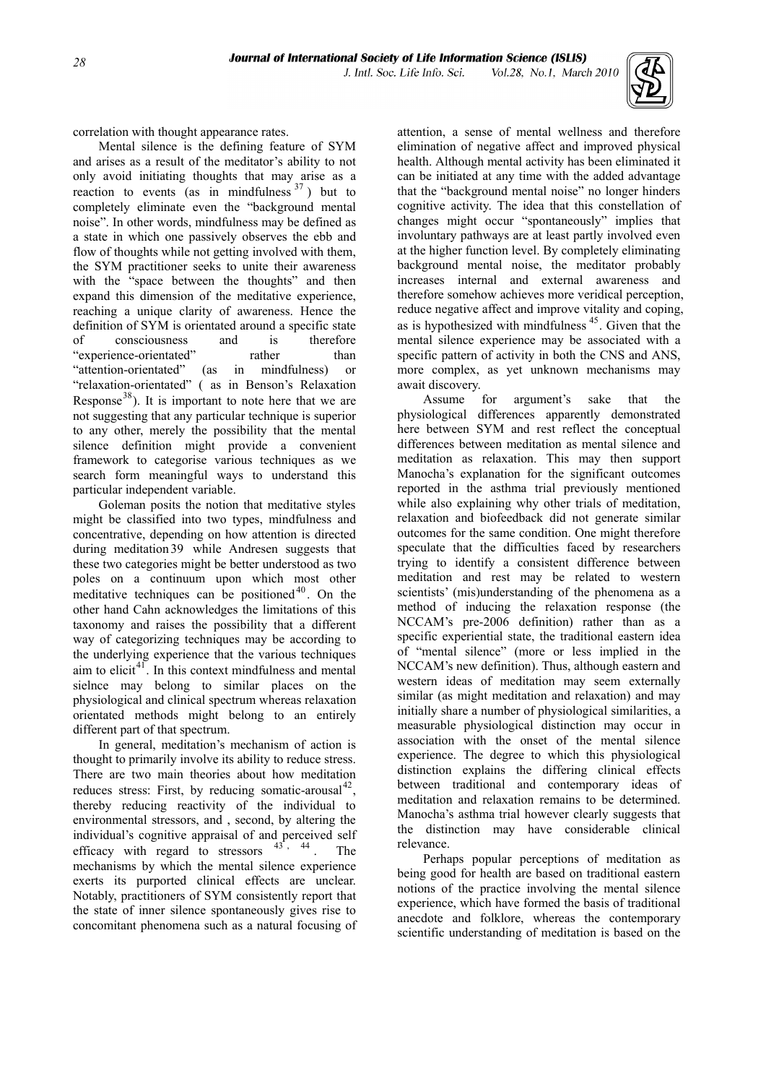

correlation with thought appearance rates.

 Mental silence is the defining feature of SYM and arises as a result of the meditator's ability to not only avoid initiating thoughts that may arise as a reaction to events (as in mindfulness  $37$ ) but to completely eliminate even the "background mental noise". In other words, mindfulness may be defined as a state in which one passively observes the ebb and flow of thoughts while not getting involved with them, the SYM practitioner seeks to unite their awareness with the "space between the thoughts" and then expand this dimension of the meditative experience, reaching a unique clarity of awareness. Hence the definition of SYM is orientated around a specific state of consciousness and is therefore "experience-orientated" rather than "attention-orientated" (as in mindfulness) or "relaxation-orientated" ( as in Benson's Relaxation Response<sup>[38](#page-8-0)</sup>). It is important to note here that we are not suggesting that any particular technique is superior to any other, merely the possibility that the mental silence definition might provide a convenient framework to categorise various techniques as we search form meaningful ways to understand this particular independent variable.

 Goleman posits the notion that meditative styles might be classified into two types, mindfulness and concentrative, depending on how attention is directed during meditation [39](#page-8-0) while Andresen suggests that these two categories might be better understood as two poles on a continuum upon which most other meditative techniques can be positioned<sup>40</sup>. On the other hand Cahn acknowledges the limitations of this taxonomy and raises the possibility that a different way of categorizing techniques may be according to the underlying experience that the various techniques aim to elicit $4<sup>1</sup>$ . In this context mindfulness and mental sielnce may belong to similar places on the physiological and clinical spectrum whereas relaxation orientated methods might belong to an entirely different part of that spectrum.

 In general, meditation's mechanism of action is thought to primarily involve its ability to reduce stress. There are two main theories about how meditation reduces stress: First, by reducing somatic-arousal<sup>42</sup>, thereby reducing reactivity of the individual to environmental stressors, and , second, by altering the individual's cognitive appraisal of and perceived self efficacy with regard to stressors  $43^{\circ}$ ,  $44$ . The mechanisms by which the mental silence experience exerts its purported clinical effects are unclear. Notably, practitioners of SYM consistently report that the state of inner silence spontaneously gives rise to concomitant phenomena such as a natural focusing of

attention, a sense of mental wellness and therefore elimination of negative affect and improved physical health. Although mental activity has been eliminated it can be initiated at any time with the added advantage that the "background mental noise" no longer hinders cognitive activity. The idea that this constellation of changes might occur "spontaneously" implies that involuntary pathways are at least partly involved even at the higher function level. By completely eliminating background mental noise, the meditator probably increases internal and external awareness and therefore somehow achieves more veridical perception, reduce negative affect and improve vitality and coping, as is hypothesized with mindfulness 45. Given that the mental silence experience may be associated with a specific pattern of activity in both the CNS and ANS, more complex, as yet unknown mechanisms may await discovery.

 Assume for argument's sake that the physiological differences apparently demonstrated here between SYM and rest reflect the conceptual differences between meditation as mental silence and meditation as relaxation. This may then support Manocha's explanation for the significant outcomes reported in the asthma trial previously mentioned while also explaining why other trials of meditation, relaxation and biofeedback did not generate similar outcomes for the same condition. One might therefore speculate that the difficulties faced by researchers trying to identify a consistent difference between meditation and rest may be related to western scientists' (mis)understanding of the phenomena as a method of inducing the relaxation response (the NCCAM's pre-2006 definition) rather than as a specific experiential state, the traditional eastern idea of "mental silence" (more or less implied in the NCCAM's new definition). Thus, although eastern and western ideas of meditation may seem externally similar (as might meditation and relaxation) and may initially share a number of physiological similarities, a measurable physiological distinction may occur in association with the onset of the mental silence experience. The degree to which this physiological distinction explains the differing clinical effects between traditional and contemporary ideas of meditation and relaxation remains to be determined. Manocha's asthma trial however clearly suggests that the distinction may have considerable clinical relevance.

 Perhaps popular perceptions of meditation as being good for health are based on traditional eastern notions of the practice involving the mental silence experience, which have formed the basis of traditional anecdote and folklore, whereas the contemporary scientific understanding of meditation is based on the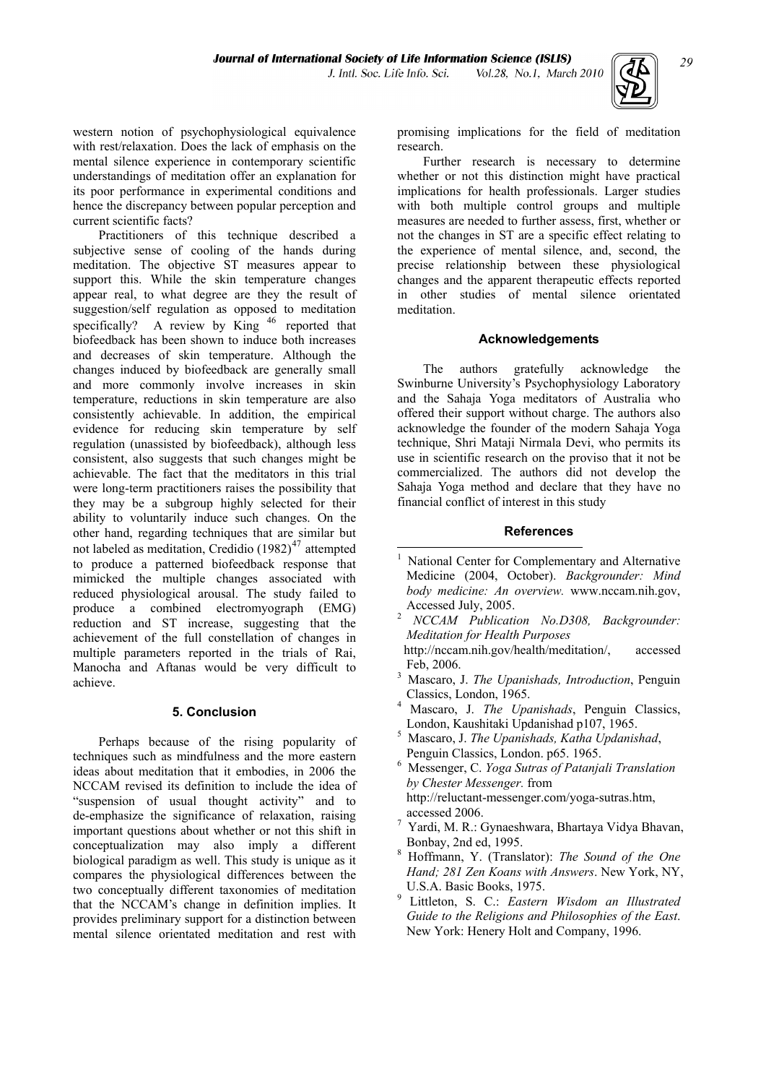-

western notion of psychophysiological equivalence with rest/relaxation. Does the lack of emphasis on the mental silence experience in contemporary scientific understandings of meditation offer an explanation for its poor performance in experimental conditions and hence the discrepancy between popular perception and current scientific facts?

 Practitioners of this technique described a subjective sense of cooling of the hands during meditation. The objective ST measures appear to support this. While the skin temperature changes appear real, to what degree are they the result of suggestion/self regulation as opposed to meditation specifically? A review by  $\text{King}^{46}$  reported that biofeedback has been shown to induce both increases and decreases of skin temperature. Although the changes induced by biofeedback are generally small and more commonly involve increases in skin temperature, reductions in skin temperature are also consistently achievable. In addition, the empirical evidence for reducing skin temperature by self regulation (unassisted by biofeedback), although less consistent, also suggests that such changes might be achievable. The fact that the meditators in this trial were long-term practitioners raises the possibility that they may be a subgroup highly selected for their ability to voluntarily induce such changes. On the other hand, regarding techniques that are similar but not labeled as meditation, Credidio (1982)<sup>47</sup> attempted to produce a patterned biofeedback response that mimicked the multiple changes associated with reduced physiological arousal. The study failed to produce a combined electromyograph (EMG) reduction and ST increase, suggesting that the achievement of the full constellation of changes in multiple parameters reported in the trials of Rai, Manocha and Aftanas would be very difficult to achieve.

# **5. Conclusion**

<span id="page-6-1"></span><span id="page-6-0"></span> Perhaps because of the rising popularity of techniques such as mindfulness and the more eastern ideas about meditation that it embodies, in 2006 the NCCAM revised its definition to include the idea of "suspension of usual thought activity" and to de-emphasize the significance of relaxation, raising important questions about whether or not this shift in conceptualization may also imply a different biological paradigm as well. This study is unique as it compares the physiological differences between the two conceptually different taxonomies of meditation that the NCCAM's change in definition implies. It provides preliminary support for a distinction between mental silence orientated meditation and rest with

promising implications for the field of meditation research.

 Further research is necessary to determine whether or not this distinction might have practical implications for health professionals. Larger studies with both multiple control groups and multiple measures are needed to further assess, first, whether or not the changes in ST are a specific effect relating to the experience of mental silence, and, second, the precise relationship between these physiological changes and the apparent therapeutic effects reported in other studies of mental silence orientated meditation.

## **Acknowledgements**

 The authors gratefully acknowledge the Swinburne University's Psychophysiology Laboratory and the Sahaja Yoga meditators of Australia who offered their support without charge. The authors also acknowledge the founder of the modern Sahaja Yoga technique, Shri Mataji Nirmala Devi, who permits its use in scientific research on the proviso that it not be commercialized. The authors did not develop the Sahaja Yoga method and declare that they have no financial conflict of interest in this study

## **References**

- 1 National Center for Complementary and Alternative Medicine (2004, October). *Backgrounder: Mind body medicine: An overview.* www.nccam.nih.gov, Accessed July, 2005.<br><sup>2</sup> *NCCAM Publication No.D308, Backgrounder:*
- *Meditation for Health Purposes*
- http://nccam.nih.gov/health/meditation/, accessed Feb, 2006.
- Mascaro, J. *The Upanishads, Introduction*, Penguin Classics, London, 1965. 4 Mascaro, J. *The Upanishads*, Penguin Classics,
- London, Kaushitaki Updanishad p107, 1965.<br>
<sup>5</sup> Mascaro, L*The Upgnishads, Katha Updanis*
- Mascaro, J. *The Upanishads, Katha Updanishad*, Penguin Classics, London. p65. 1965.
- Messenger, C. *Yoga Sutras of Patanjali Translation by Chester Messenger.* from http://reluctant-messenger.com/yoga-sutras.htm, accessed 2006.
- Yardi, M. R.: Gynaeshwara, Bhartaya Vidya Bhavan, Bonbay, 2nd ed, 1995.
- Hoffmann, Y. (Translator): *The Sound of the One Hand; 281 Zen Koans with Answers*. New York, NY,
- U.S.A. Basic Books, 1975. 9 Littleton, S. C.: *Eastern Wisdom an Illustrated Guide to the Religions and Philosophies of the East*. New York: Henery Holt and Company, 1996.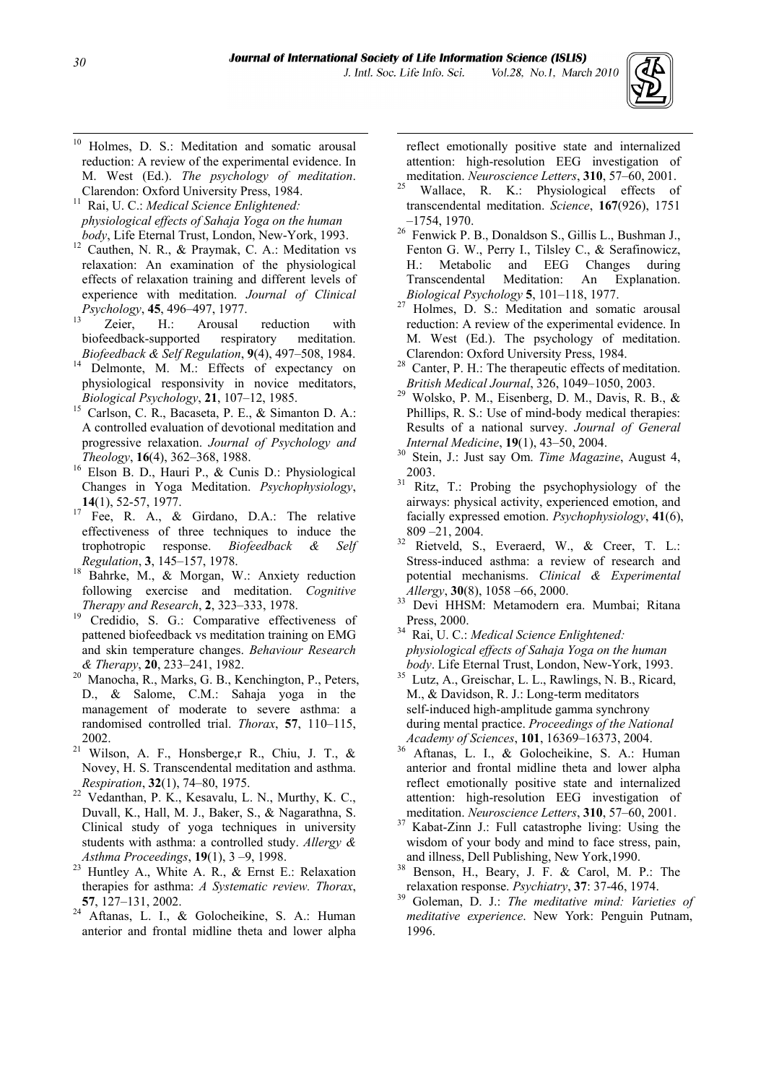1



 $10\,$ Holmes, D. S.: Meditation and somatic arousal reduction: A review of the experimental evidence. In M. West (Ed.). *The psychology of meditation*.

Clarendon: Oxford University Press, 1984. 11 Rai, U. C.: *Medical Science Enlightened: physiological effects of Sahaja Yoga on the human* 

- *body*, Life Eternal Trust, London, New-York, 1993.<br><sup>12</sup> Cauthen, N. R., & Praymak, C. A.: Meditation vs relaxation: An examination of the physiological effects of relaxation training and different levels of experience with meditation. *Journal of Clinical Psychology*, **45**, 496–497, 1977.<br><sup>13</sup> Zeier, H.: Arousal reduction with
- biofeedback-supported respiratory meditation. *Biofeedback & Self Regulation*, **9**(4), 497–508, 1984. 14 Delmonte, M. M.: Effects of expectancy on
- physiological responsivity in novice meditators,
- *Biological Psychology*, **21**, 107–12, 1985.<br><sup>15</sup> Carlson, C. R., Bacaseta, P. E., & Simanton D. A.: A controlled evaluation of devotional meditation and progressive relaxation. *Journal of Psychology and*
- *Theology*, **16**(4), 362–368, 1988.<br><sup>16</sup> Elson B. D., Hauri P., & Cunis D.: Physiological Changes in Yoga Meditation. *Psychophysiology*, **14**(1), 52-57, 1977.<br><sup>17</sup> Fee, R. A., & Girdano, D.A.: The relative
- effectiveness of three techniques to induce the trophotropic response. *Biofeedback & Self*
- *Regulation*, **3**, 145–157, 1978.<br><sup>18</sup> Bahrke, M., & Morgan, W.: Anxiety reduction following exercise and meditation. *Cognitive*
- *Therapy and Research*, **2**, 323–333, 1978.<br><sup>19</sup> Credidio, S. G.: Comparative effectiveness of pattened biofeedback vs meditation training on EMG and skin temperature changes. *Behaviour Research*
- *& Therapy*, **20**, 233–241, 1982. 20 Manocha, R., Marks, G. B., Kenchington, P., Peters, D., & Salome, C.M.: Sahaja yoga in the management of moderate to severe asthma: a randomised controlled trial. *Thorax*, **57**, 110–115,
- <span id="page-7-0"></span>2002. 21 Wilson, A. F., Honsberge,r R., Chiu, J. T., & Novey, H. S. Transcendental meditation and asthma.
- *Respiration*, **32**(1), 74–80, 1975.<br><sup>22</sup> Vedanthan, P. K., Kesavalu, L. N., Murthy, K. C., Duvall, K., Hall, M. J., Baker, S., & Nagarathna, S. Clinical study of yoga techniques in university students with asthma: a controlled study. *Allergy &*
- *Asthma Proceedings*, **19**(1), 3 –9, 1998. 23 Huntley A., White A. R., & Ernst E.: Relaxation therapies for asthma: *A Systematic review. Thorax*,
- **<sup>57</sup>**, 127–131, 2002. 24 Aftanas, L. I., & Golocheikine, S. A.: Human anterior and frontal midline theta and lower alpha

reflect emotionally positive state and internalized attention: high-resolution EEG investigation of

- meditation. *Neuroscience Letters*, **310**, 57–60, 2001.<br><sup>5</sup> Wallace, R. K.: Physiological effects of transcendental meditation. *Science*, **167**(926), 1751
- –1754, 1970.<br><sup>26</sup> Fenwick P. B., Donaldson S., Gillis L., Bushman J., Fenton G. W., Perry I., Tilsley C., & Serafinowicz, H.: Metabolic and EEG Changes during Transcendental Meditation: An Explanation.
- *Biological Psychology* **<sup>5</sup>**, 101–118, 1977. 27 Holmes, D. S.: Meditation and somatic arousal reduction: A review of the experimental evidence. In M. West (Ed.). The psychology of meditation.
- Clarendon: Oxford University Press, 1984. 28 Canter, P. H.: The therapeutic effects of meditation.
- *British Medical Journal*, 326, 1049–1050, 2003. 29 Wolsko, P. M., Eisenberg, D. M., Davis, R. B., & Phillips, R. S.: Use of mind-body medical therapies: Results of a national survey. *Journal of General*
- *Internal Medicine*, **19**(1), 43–50, 2004. 30 Stein, J.: Just say Om. *Time Magazine*, August 4, 2003.<br><sup>31</sup> Ritz, T.: Probing the psychophysiology of the
- airways: physical activity, experienced emotion, and facially expressed emotion. *Psychophysiology*, **41**(6), 809 –21, 2004.<br><sup>32</sup> Rietveld, S., Everaerd, W., & Creer, T. L.:
- Stress-induced asthma: a review of research and potential mechanisms. *Clinical & Experimental*
- *Allergy*, **30**(8), 1058 –66, 2000. 33 Devi HHSM: Metamodern era. Mumbai; Ritana
- Press, 2000. 34 Rai, U. C.: *Medical Science Enlightened: physiological effects of Sahaja Yoga on the human*
- *body*. Life Eternal Trust, London, New-York, 1993. 35 Lutz, A., Greischar, L. L., Rawlings, N. B., Ricard, M., & Davidson, R. J.: Long-term meditators self-induced high-amplitude gamma synchrony during mental practice. *Proceedings of the National Academy of Sciences*, **101**, 16369–16373, 2004. 36 Aftanas, L. I., & Golocheikine, S. A.: Human
- anterior and frontal midline theta and lower alpha reflect emotionally positive state and internalized attention: high-resolution EEG investigation of
- meditation. *Neuroscience Letters*, **310**, 57–60, 2001.<br><sup>37</sup> Kabat-Zinn J.: Full catastrophe living: Using the wisdom of your body and mind to face stress, pain.
- and illness, Dell Publishing, New York,1990. 38 Benson, H., Beary, J. F. & Carol, M. P.: The
- relaxation response. *Psychiatry*, **37**: 37-46, 1974. 39 Goleman, D. J.: *The meditative mind: Varieties of meditative experience*. New York: Penguin Putnam, 1996.